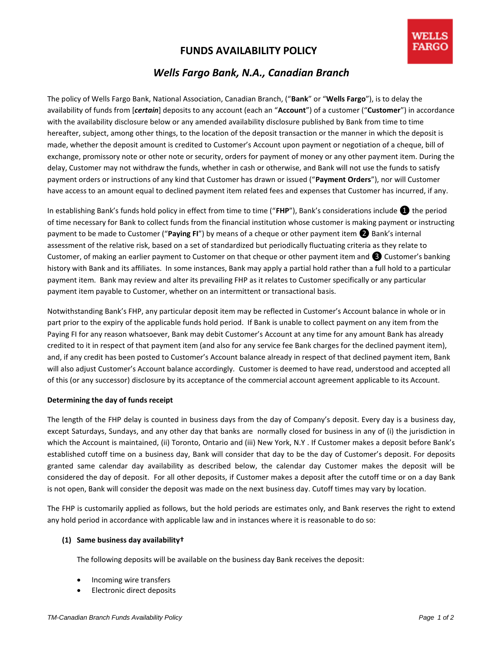# **FUNDS AVAILABILITY POLICY**

# *Wells Fargo Bank, N.A., Canadian Branch*

The policy of Wells Fargo Bank, National Association, Canadian Branch, ("**Bank**" or "**Wells Fargo**"), is to delay the availability of funds from [*certain*] deposits to any account (each an "**Account**") of a customer ("**Customer**") in accordance with the availability disclosure below or any amended availability disclosure published by Bank from time to time hereafter, subject, among other things, to the location of the deposit transaction or the manner in which the deposit is made, whether the deposit amount is credited to Customer's Account upon payment or negotiation of a cheque, bill of exchange, promissory note or other note or security, orders for payment of money or any other payment item. During the delay, Customer may not withdraw the funds, whether in cash or otherwise, and Bank will not use the funds to satisfy payment orders or instructions of any kind that Customer has drawn or issued ("**Payment Orders**"), nor will Customer have access to an amount equal to declined payment item related fees and expenses that Customer has incurred, if any.

In establishing Bank's funds hold policy in effect from time to time ("**FHP**"), Bank's considerations include ❶ the period of time necessary for Bank to collect funds from the financial institution whose customer is making payment or instructing payment to be made to Customer ("**Paying FI**") by means of a cheque or other payment item ❷ Bank's internal assessment of the relative risk, based on a set of standardized but periodically fluctuating criteria as they relate to Customer, of making an earlier payment to Customer on that cheque or other payment item and ❸ Customer's banking history with Bank and its affiliates. In some instances, Bank may apply a partial hold rather than a full hold to a particular payment item. Bank may review and alter its prevailing FHP as it relates to Customer specifically or any particular payment item payable to Customer, whether on an intermittent or transactional basis.

Notwithstanding Bank's FHP, any particular deposit item may be reflected in Customer's Account balance in whole or in part prior to the expiry of the applicable funds hold period. If Bank is unable to collect payment on any item from the Paying FI for any reason whatsoever, Bank may debit Customer's Account at any time for any amount Bank has already credited to it in respect of that payment item (and also for any service fee Bank charges for the declined payment item), and, if any credit has been posted to Customer's Account balance already in respect of that declined payment item, Bank will also adjust Customer's Account balance accordingly. Customer is deemed to have read, understood and accepted all of this (or any successor) disclosure by its acceptance of the commercial account agreement applicable to its Account.

## **Determining the day of funds receipt**

The length of the FHP delay is counted in business days from the day of Company's deposit. Every day is a business day, except Saturdays, Sundays, and any other day that banks are normally closed for business in any of (i) the jurisdiction in which the Account is maintained, (ii) Toronto, Ontario and (iii) New York, N.Y . If Customer makes a deposit before Bank's established cutoff time on a business day, Bank will consider that day to be the day of Customer's deposit. For deposits granted same calendar day availability as described below, the calendar day Customer makes the deposit will be considered the day of deposit. For all other deposits, if Customer makes a deposit after the cutoff time or on a day Bank is not open, Bank will consider the deposit was made on the next business day. Cutoff times may vary by location.

The FHP is customarily applied as follows, but the hold periods are estimates only, and Bank reserves the right to extend any hold period in accordance with applicable law and in instances where it is reasonable to do so:

## **(1) Same business day availability†**

The following deposits will be available on the business day Bank receives the deposit:

- Incoming wire transfers
- Electronic direct deposits